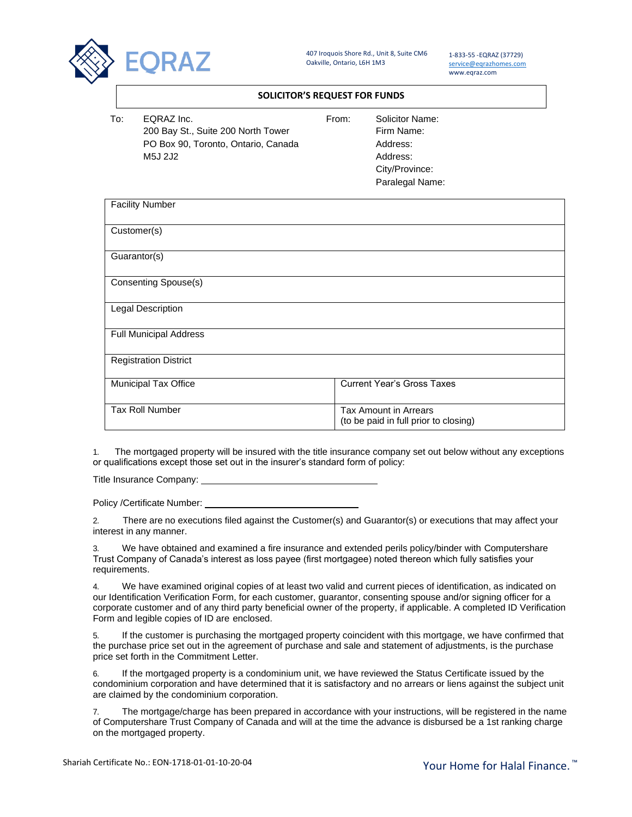

407 Iroquois Shore Rd., Unit 8, Suite CM6 Oakville, Ontario, L6H 1M3

1-833-55 -EQRAZ (37729) [service@eqrazhomes.com](mailto:service@eqrazhomes.com) www.eqraz.com

## **SOLICITOR'S REQUEST FOR FUNDS**

| T∩∶ | EQRAZ Inc.                          | From: | Solicitor Name: |
|-----|-------------------------------------|-------|-----------------|
|     | 200 Bay St., Suite 200 North Tower  |       | Firm Name:      |
|     | PO Box 90, Toronto, Ontario, Canada |       | Address:        |
|     | M5J 2J2                             |       | Address:        |

Firm Name: Address: Address: City/Province: Paralegal Name:

| <b>Facility Number</b>        |                                                                       |  |  |
|-------------------------------|-----------------------------------------------------------------------|--|--|
| Customer(s)                   |                                                                       |  |  |
| Guarantor(s)                  |                                                                       |  |  |
| <b>Consenting Spouse(s)</b>   |                                                                       |  |  |
| Legal Description             |                                                                       |  |  |
| <b>Full Municipal Address</b> |                                                                       |  |  |
| <b>Registration District</b>  |                                                                       |  |  |
| Municipal Tax Office          | <b>Current Year's Gross Taxes</b>                                     |  |  |
| <b>Tax Roll Number</b>        | <b>Tax Amount in Arrears</b><br>(to be paid in full prior to closing) |  |  |

1. The mortgaged property will be insured with the title insurance company set out below without any exceptions or qualifications except those set out in the insurer's standard form of policy:

Title Insurance Company:

Policy /Certificate Number:

2. There are no executions filed against the Customer(s) and Guarantor(s) or executions that may affect your interest in any manner.

3. We have obtained and examined a fire insurance and extended perils policy/binder with Computershare Trust Company of Canada's interest as loss payee (first mortgagee) noted thereon which fully satisfies your requirements.

4. We have examined original copies of at least two valid and current pieces of identification, as indicated on our Identification Verification Form, for each customer, guarantor, consenting spouse and/or signing officer for a corporate customer and of any third party beneficial owner of the property, if applicable. A completed ID Verification Form and legible copies of ID are enclosed.

5. If the customer is purchasing the mortgaged property coincident with this mortgage, we have confirmed that the purchase price set out in the agreement of purchase and sale and statement of adjustments, is the purchase price set forth in the Commitment Letter.

6. If the mortgaged property is a condominium unit, we have reviewed the Status Certificate issued by the condominium corporation and have determined that it is satisfactory and no arrears or liens against the subject unit are claimed by the condominium corporation.

7. The mortgage/charge has been prepared in accordance with your instructions, will be registered in the name of Computershare Trust Company of Canada and will at the time the advance is disbursed be a 1st ranking charge on the mortgaged property.